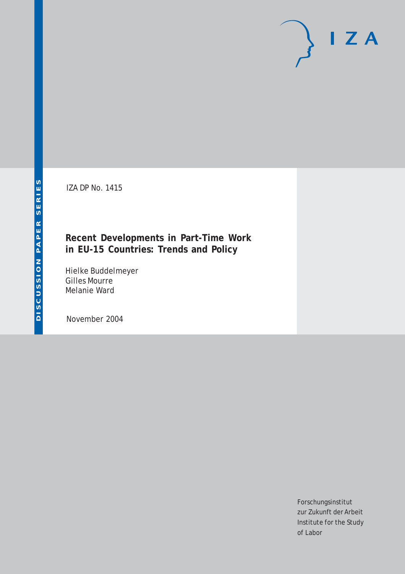IZA DP No. 1415

# **Recent Developments in Part-Time Work in EU-15 Countries: Trends and Policy**

Hielke Buddelmeyer Gilles Mourre Melanie Ward

November 2004

Forschungsinstitut zur Zukunft der Arbeit Institute for the Study of Labor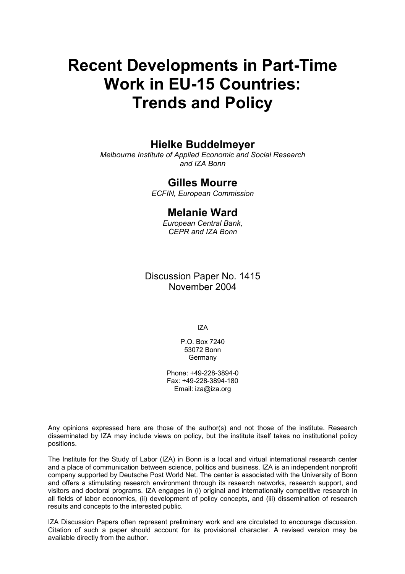# **Recent Developments in Part-Time Work in EU-15 Countries: Trends and Policy**

### **Hielke Buddelmeyer**

*Melbourne Institute of Applied Economic and Social Research and IZA Bonn* 

### **Gilles Mourre**

*ECFIN, European Commission* 

### **Melanie Ward**

*European Central Bank, CEPR and IZA Bonn* 

Discussion Paper No. 1415 November 2004

IZA

P.O. Box 7240 53072 Bonn Germany

Phone: +49-228-3894-0 Fax: +49-228-3894-180 Email: [iza@iza.org](mailto:iza@iza.org)

Any opinions expressed here are those of the author(s) and not those of the institute. Research disseminated by IZA may include views on policy, but the institute itself takes no institutional policy positions.

The Institute for the Study of Labor (IZA) in Bonn is a local and virtual international research center and a place of communication between science, politics and business. IZA is an independent nonprofit company supported by Deutsche Post World Net. The center is associated with the University of Bonn and offers a stimulating research environment through its research networks, research support, and visitors and doctoral programs. IZA engages in (i) original and internationally competitive research in all fields of labor economics, (ii) development of policy concepts, and (iii) dissemination of research results and concepts to the interested public.

IZA Discussion Papers often represent preliminary work and are circulated to encourage discussion. Citation of such a paper should account for its provisional character. A revised version may be available directly from the author.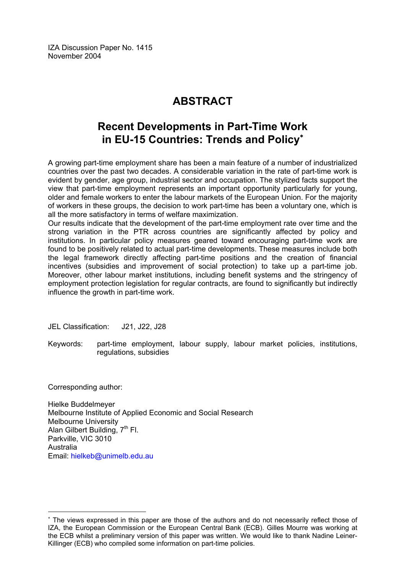IZA Discussion Paper No. 1415 November 2004

# **ABSTRACT**

# **Recent Developments in Part-Time Work in EU-15 Countries: Trends and Policy**[∗](#page-2-0)

A growing part-time employment share has been a main feature of a number of industrialized countries over the past two decades. A considerable variation in the rate of part-time work is evident by gender, age group, industrial sector and occupation. The stylized facts support the view that part-time employment represents an important opportunity particularly for young, older and female workers to enter the labour markets of the European Union. For the majority of workers in these groups, the decision to work part-time has been a voluntary one, which is all the more satisfactory in terms of welfare maximization.

Our results indicate that the development of the part-time employment rate over time and the strong variation in the PTR across countries are significantly affected by policy and institutions. In particular policy measures geared toward encouraging part-time work are found to be positively related to actual part-time developments. These measures include both the legal framework directly affecting part-time positions and the creation of financial incentives (subsidies and improvement of social protection) to take up a part-time job. Moreover, other labour market institutions, including benefit systems and the stringency of employment protection legislation for regular contracts, are found to significantly but indirectly influence the growth in part-time work.

JEL Classification: J21, J22, J28

Keywords: part-time employment, labour supply, labour market policies, institutions, regulations, subsidies

Corresponding author:

 $\overline{a}$ 

Hielke Buddelmeyer Melbourne Institute of Applied Economic and Social Research Melbourne University Alan Gilbert Building,  $7<sup>th</sup>$  Fl. Parkville, VIC 3010 Australia Email: hielkeb@unimelb.edu.au

<span id="page-2-0"></span><sup>∗</sup> The views expressed in this paper are those of the authors and do not necessarily reflect those of IZA, the European Commission or the European Central Bank (ECB). Gilles Mourre was working at the ECB whilst a preliminary version of this paper was written. We would like to thank Nadine Leiner-Killinger (ECB) who compiled some information on part-time policies.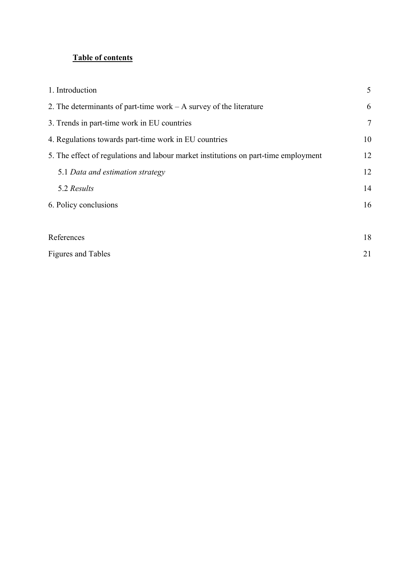### **Table of contents**

| 1. Introduction                                                                     | 5      |
|-------------------------------------------------------------------------------------|--------|
| 2. The determinants of part-time work $-$ A survey of the literature                | 6      |
| 3. Trends in part-time work in EU countries                                         | $\tau$ |
| 4. Regulations towards part-time work in EU countries                               | 10     |
| 5. The effect of regulations and labour market institutions on part-time employment | 12     |
| 5.1 Data and estimation strategy                                                    | 12     |
| 5.2 Results                                                                         | 14     |
| 6. Policy conclusions                                                               | 16     |
|                                                                                     |        |
| References                                                                          | 18     |
| <b>Figures and Tables</b>                                                           | 21     |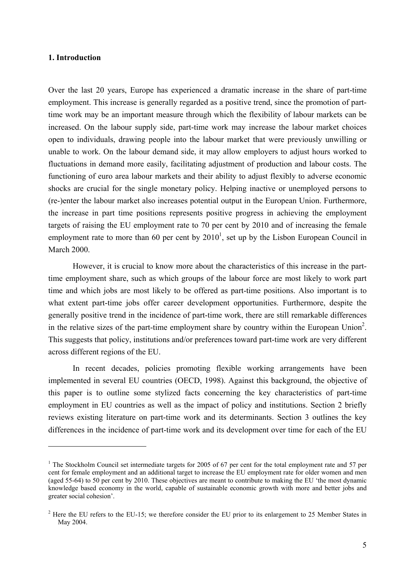#### **1. Introduction**

 $\overline{a}$ 

Over the last 20 years, Europe has experienced a dramatic increase in the share of part-time employment. This increase is generally regarded as a positive trend, since the promotion of parttime work may be an important measure through which the flexibility of labour markets can be increased. On the labour supply side, part-time work may increase the labour market choices open to individuals, drawing people into the labour market that were previously unwilling or unable to work. On the labour demand side, it may allow employers to adjust hours worked to fluctuations in demand more easily, facilitating adjustment of production and labour costs. The functioning of euro area labour markets and their ability to adjust flexibly to adverse economic shocks are crucial for the single monetary policy. Helping inactive or unemployed persons to (re-)enter the labour market also increases potential output in the European Union. Furthermore, the increase in part time positions represents positive progress in achieving the employment targets of raising the EU employment rate to 70 per cent by 2010 and of increasing the female employment rate to more than 60 per cent by  $2010<sup>1</sup>$ , set up by the Lisbon European Council in March 2000.

However, it is crucial to know more about the characteristics of this increase in the parttime employment share, such as which groups of the labour force are most likely to work part time and which jobs are most likely to be offered as part-time positions. Also important is to what extent part-time jobs offer career development opportunities. Furthermore, despite the generally positive trend in the incidence of part-time work, there are still remarkable differences in the relative sizes of the part-time employment share by country within the European Union<sup>2</sup>. This suggests that policy, institutions and/or preferences toward part-time work are very different across different regions of the EU.

In recent decades, policies promoting flexible working arrangements have been implemented in several EU countries (OECD, 1998). Against this background, the objective of this paper is to outline some stylized facts concerning the key characteristics of part-time employment in EU countries as well as the impact of policy and institutions. Section 2 briefly reviews existing literature on part-time work and its determinants. Section 3 outlines the key differences in the incidence of part-time work and its development over time for each of the EU

<sup>&</sup>lt;sup>1</sup> The Stockholm Council set intermediate targets for 2005 of 67 per cent for the total employment rate and 57 per cent for female employment and an additional target to increase the EU employment rate for older women and men (aged 55-64) to 50 per cent by 2010. These objectives are meant to contribute to making the EU 'the most dynamic knowledge based economy in the world, capable of sustainable economic growth with more and better jobs and greater social cohesion'.

 $2^2$  Here the EU refers to the EU-15; we therefore consider the EU prior to its enlargement to 25 Member States in May 2004.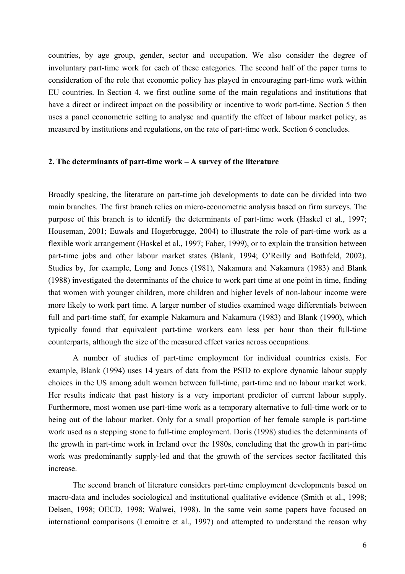countries, by age group, gender, sector and occupation. We also consider the degree of involuntary part-time work for each of these categories. The second half of the paper turns to consideration of the role that economic policy has played in encouraging part-time work within EU countries. In Section 4, we first outline some of the main regulations and institutions that have a direct or indirect impact on the possibility or incentive to work part-time. Section 5 then uses a panel econometric setting to analyse and quantify the effect of labour market policy, as measured by institutions and regulations, on the rate of part-time work. Section 6 concludes.

#### **2. The determinants of part-time work – A survey of the literature**

Broadly speaking, the literature on part-time job developments to date can be divided into two main branches. The first branch relies on micro-econometric analysis based on firm surveys. The purpose of this branch is to identify the determinants of part-time work (Haskel et al., 1997; Houseman, 2001; Euwals and Hogerbrugge, 2004) to illustrate the role of part-time work as a flexible work arrangement (Haskel et al., 1997; Faber, 1999), or to explain the transition between part-time jobs and other labour market states (Blank, 1994; O'Reilly and Bothfeld, 2002). Studies by, for example, Long and Jones (1981), Nakamura and Nakamura (1983) and Blank (1988) investigated the determinants of the choice to work part time at one point in time, finding that women with younger children, more children and higher levels of non-labour income were more likely to work part time. A larger number of studies examined wage differentials between full and part-time staff, for example Nakamura and Nakamura (1983) and Blank (1990), which typically found that equivalent part-time workers earn less per hour than their full-time counterparts, although the size of the measured effect varies across occupations.

A number of studies of part-time employment for individual countries exists. For example, Blank (1994) uses 14 years of data from the PSID to explore dynamic labour supply choices in the US among adult women between full-time, part-time and no labour market work. Her results indicate that past history is a very important predictor of current labour supply. Furthermore, most women use part-time work as a temporary alternative to full-time work or to being out of the labour market. Only for a small proportion of her female sample is part-time work used as a stepping stone to full-time employment. Doris (1998) studies the determinants of the growth in part-time work in Ireland over the 1980s, concluding that the growth in part-time work was predominantly supply-led and that the growth of the services sector facilitated this increase.

The second branch of literature considers part-time employment developments based on macro-data and includes sociological and institutional qualitative evidence (Smith et al., 1998; Delsen, 1998; OECD, 1998; Walwei, 1998). In the same vein some papers have focused on international comparisons (Lemaitre et al., 1997) and attempted to understand the reason why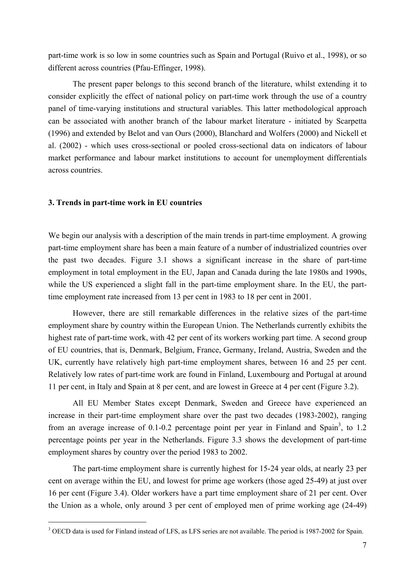part-time work is so low in some countries such as Spain and Portugal (Ruivo et al., 1998), or so different across countries (Pfau-Effinger, 1998).

The present paper belongs to this second branch of the literature, whilst extending it to consider explicitly the effect of national policy on part-time work through the use of a country panel of time-varying institutions and structural variables. This latter methodological approach can be associated with another branch of the labour market literature - initiated by Scarpetta (1996) and extended by Belot and van Ours (2000), Blanchard and Wolfers (2000) and Nickell et al. (2002) - which uses cross-sectional or pooled cross-sectional data on indicators of labour market performance and labour market institutions to account for unemployment differentials across countries.

#### **3. Trends in part-time work in EU countries**

 $\overline{a}$ 

We begin our analysis with a description of the main trends in part-time employment. A growing part-time employment share has been a main feature of a number of industrialized countries over the past two decades. Figure 3.1 shows a significant increase in the share of part-time employment in total employment in the EU, Japan and Canada during the late 1980s and 1990s, while the US experienced a slight fall in the part-time employment share. In the EU, the parttime employment rate increased from 13 per cent in 1983 to 18 per cent in 2001.

However, there are still remarkable differences in the relative sizes of the part-time employment share by country within the European Union. The Netherlands currently exhibits the highest rate of part-time work, with 42 per cent of its workers working part time. A second group of EU countries, that is, Denmark, Belgium, France, Germany, Ireland, Austria, Sweden and the UK, currently have relatively high part-time employment shares, between 16 and 25 per cent. Relatively low rates of part-time work are found in Finland, Luxembourg and Portugal at around 11 per cent, in Italy and Spain at 8 per cent, and are lowest in Greece at 4 per cent (Figure 3.2).

All EU Member States except Denmark, Sweden and Greece have experienced an increase in their part-time employment share over the past two decades (1983-2002), ranging from an average increase of 0.1-0.2 percentage point per year in Finland and Spain<sup>3</sup>, to 1.2 percentage points per year in the Netherlands. Figure 3.3 shows the development of part-time employment shares by country over the period 1983 to 2002.

The part-time employment share is currently highest for 15-24 year olds, at nearly 23 per cent on average within the EU, and lowest for prime age workers (those aged 25-49) at just over 16 per cent (Figure 3.4). Older workers have a part time employment share of 21 per cent. Over the Union as a whole, only around 3 per cent of employed men of prime working age (24-49)

<sup>&</sup>lt;sup>3</sup> OECD data is used for Finland instead of LFS, as LFS series are not available. The period is 1987-2002 for Spain.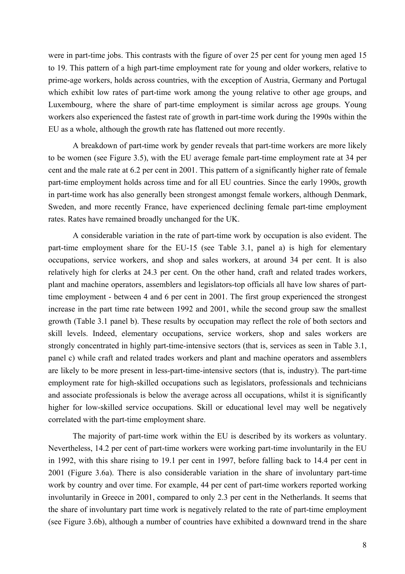were in part-time jobs. This contrasts with the figure of over 25 per cent for young men aged 15 to 19. This pattern of a high part-time employment rate for young and older workers, relative to prime-age workers, holds across countries, with the exception of Austria, Germany and Portugal which exhibit low rates of part-time work among the young relative to other age groups, and Luxembourg, where the share of part-time employment is similar across age groups. Young workers also experienced the fastest rate of growth in part-time work during the 1990s within the EU as a whole, although the growth rate has flattened out more recently.

A breakdown of part-time work by gender reveals that part-time workers are more likely to be women (see Figure 3.5), with the EU average female part-time employment rate at 34 per cent and the male rate at 6.2 per cent in 2001. This pattern of a significantly higher rate of female part-time employment holds across time and for all EU countries. Since the early 1990s, growth in part-time work has also generally been strongest amongst female workers, although Denmark, Sweden, and more recently France, have experienced declining female part-time employment rates. Rates have remained broadly unchanged for the UK.

A considerable variation in the rate of part-time work by occupation is also evident. The part-time employment share for the EU-15 (see Table 3.1, panel a) is high for elementary occupations, service workers, and shop and sales workers, at around 34 per cent. It is also relatively high for clerks at 24.3 per cent. On the other hand, craft and related trades workers, plant and machine operators, assemblers and legislators-top officials all have low shares of parttime employment - between 4 and 6 per cent in 2001. The first group experienced the strongest increase in the part time rate between 1992 and 2001, while the second group saw the smallest growth (Table 3.1 panel b). These results by occupation may reflect the role of both sectors and skill levels. Indeed, elementary occupations, service workers, shop and sales workers are strongly concentrated in highly part-time-intensive sectors (that is, services as seen in Table 3.1, panel c) while craft and related trades workers and plant and machine operators and assemblers are likely to be more present in less-part-time-intensive sectors (that is, industry). The part-time employment rate for high-skilled occupations such as legislators, professionals and technicians and associate professionals is below the average across all occupations, whilst it is significantly higher for low-skilled service occupations. Skill or educational level may well be negatively correlated with the part-time employment share.

The majority of part-time work within the EU is described by its workers as voluntary. Nevertheless, 14.2 per cent of part-time workers were working part-time involuntarily in the EU in 1992, with this share rising to 19.1 per cent in 1997, before falling back to 14.4 per cent in 2001 (Figure 3.6a). There is also considerable variation in the share of involuntary part-time work by country and over time. For example, 44 per cent of part-time workers reported working involuntarily in Greece in 2001, compared to only 2.3 per cent in the Netherlands. It seems that the share of involuntary part time work is negatively related to the rate of part-time employment (see Figure 3.6b), although a number of countries have exhibited a downward trend in the share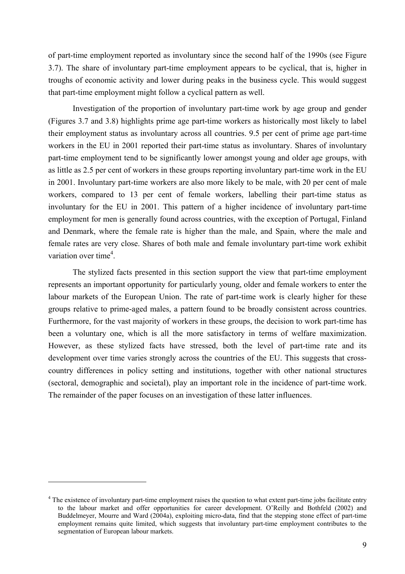of part-time employment reported as involuntary since the second half of the 1990s (see Figure 3.7). The share of involuntary part-time employment appears to be cyclical, that is, higher in troughs of economic activity and lower during peaks in the business cycle. This would suggest that part-time employment might follow a cyclical pattern as well.

Investigation of the proportion of involuntary part-time work by age group and gender (Figures 3.7 and 3.8) highlights prime age part-time workers as historically most likely to label their employment status as involuntary across all countries. 9.5 per cent of prime age part-time workers in the EU in 2001 reported their part-time status as involuntary. Shares of involuntary part-time employment tend to be significantly lower amongst young and older age groups, with as little as 2.5 per cent of workers in these groups reporting involuntary part-time work in the EU in 2001. Involuntary part-time workers are also more likely to be male, with 20 per cent of male workers, compared to 13 per cent of female workers, labelling their part-time status as involuntary for the EU in 2001. This pattern of a higher incidence of involuntary part-time employment for men is generally found across countries, with the exception of Portugal, Finland and Denmark, where the female rate is higher than the male, and Spain, where the male and female rates are very close. Shares of both male and female involuntary part-time work exhibit variation over time<sup>4</sup>.

The stylized facts presented in this section support the view that part-time employment represents an important opportunity for particularly young, older and female workers to enter the labour markets of the European Union. The rate of part-time work is clearly higher for these groups relative to prime-aged males, a pattern found to be broadly consistent across countries. Furthermore, for the vast majority of workers in these groups, the decision to work part-time has been a voluntary one, which is all the more satisfactory in terms of welfare maximization. However, as these stylized facts have stressed, both the level of part-time rate and its development over time varies strongly across the countries of the EU. This suggests that crosscountry differences in policy setting and institutions, together with other national structures (sectoral, demographic and societal), play an important role in the incidence of part-time work. The remainder of the paper focuses on an investigation of these latter influences.

 $\overline{a}$ 

<sup>&</sup>lt;sup>4</sup> The existence of involuntary part-time employment raises the question to what extent part-time jobs facilitate entry to the labour market and offer opportunities for career development. O'Reilly and Bothfeld (2002) and Buddelmeyer, Mourre and Ward (2004a), exploiting micro-data, find that the stepping stone effect of part-time employment remains quite limited, which suggests that involuntary part-time employment contributes to the segmentation of European labour markets.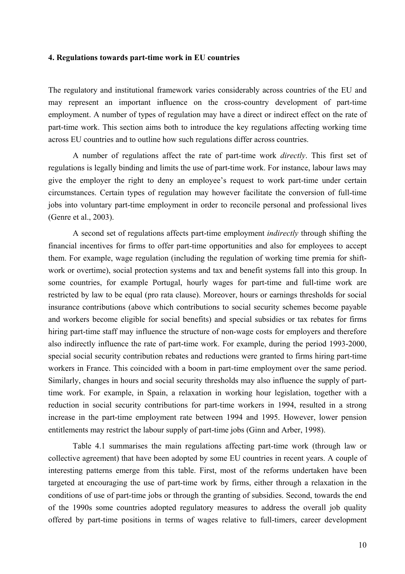#### **4. Regulations towards part-time work in EU countries**

The regulatory and institutional framework varies considerably across countries of the EU and may represent an important influence on the cross-country development of part-time employment. A number of types of regulation may have a direct or indirect effect on the rate of part-time work. This section aims both to introduce the key regulations affecting working time across EU countries and to outline how such regulations differ across countries.

A number of regulations affect the rate of part-time work *directly*. This first set of regulations is legally binding and limits the use of part-time work. For instance, labour laws may give the employer the right to deny an employee's request to work part-time under certain circumstances. Certain types of regulation may however facilitate the conversion of full-time jobs into voluntary part-time employment in order to reconcile personal and professional lives (Genre et al., 2003).

A second set of regulations affects part-time employment *indirectly* through shifting the financial incentives for firms to offer part-time opportunities and also for employees to accept them. For example, wage regulation (including the regulation of working time premia for shiftwork or overtime), social protection systems and tax and benefit systems fall into this group. In some countries, for example Portugal, hourly wages for part-time and full-time work are restricted by law to be equal (pro rata clause). Moreover, hours or earnings thresholds for social insurance contributions (above which contributions to social security schemes become payable and workers become eligible for social benefits) and special subsidies or tax rebates for firms hiring part-time staff may influence the structure of non-wage costs for employers and therefore also indirectly influence the rate of part-time work. For example, during the period 1993-2000, special social security contribution rebates and reductions were granted to firms hiring part-time workers in France. This coincided with a boom in part-time employment over the same period. Similarly, changes in hours and social security thresholds may also influence the supply of parttime work. For example, in Spain, a relaxation in working hour legislation, together with a reduction in social security contributions for part-time workers in 1994, resulted in a strong increase in the part-time employment rate between 1994 and 1995. However, lower pension entitlements may restrict the labour supply of part-time jobs (Ginn and Arber, 1998).

Table 4.1 summarises the main regulations affecting part-time work (through law or collective agreement) that have been adopted by some EU countries in recent years. A couple of interesting patterns emerge from this table. First, most of the reforms undertaken have been targeted at encouraging the use of part-time work by firms, either through a relaxation in the conditions of use of part-time jobs or through the granting of subsidies. Second, towards the end of the 1990s some countries adopted regulatory measures to address the overall job quality offered by part-time positions in terms of wages relative to full-timers, career development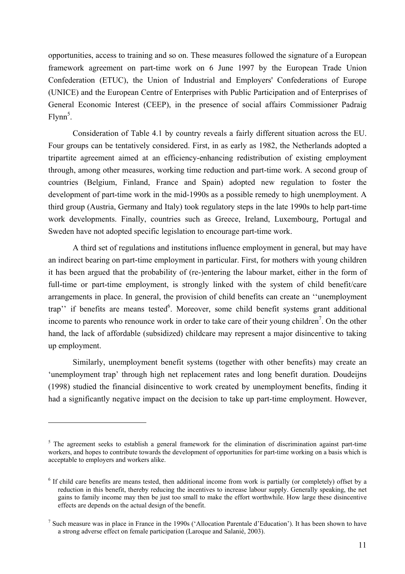opportunities, access to training and so on. These measures followed the signature of a European framework agreement on part-time work on 6 June 1997 by the European Trade Union Confederation (ETUC), the Union of Industrial and Employers' Confederations of Europe (UNICE) and the European Centre of Enterprises with Public Participation and of Enterprises of General Economic Interest (CEEP), in the presence of social affairs Commissioner Padraig  $Flynn^5$ .

Consideration of Table 4.1 by country reveals a fairly different situation across the EU. Four groups can be tentatively considered. First, in as early as 1982, the Netherlands adopted a tripartite agreement aimed at an efficiency-enhancing redistribution of existing employment through, among other measures, working time reduction and part-time work. A second group of countries (Belgium, Finland, France and Spain) adopted new regulation to foster the development of part-time work in the mid-1990s as a possible remedy to high unemployment. A third group (Austria, Germany and Italy) took regulatory steps in the late 1990s to help part-time work developments. Finally, countries such as Greece, Ireland, Luxembourg, Portugal and Sweden have not adopted specific legislation to encourage part-time work.

A third set of regulations and institutions influence employment in general, but may have an indirect bearing on part-time employment in particular. First, for mothers with young children it has been argued that the probability of (re-)entering the labour market, either in the form of full-time or part-time employment, is strongly linked with the system of child benefit/care arrangements in place. In general, the provision of child benefits can create an ''unemployment trap'' if benefits are means tested<sup>6</sup>. Moreover, some child benefit systems grant additional income to parents who renounce work in order to take care of their young children<sup>7</sup>. On the other hand, the lack of affordable (subsidized) childcare may represent a major disincentive to taking up employment.

Similarly, unemployment benefit systems (together with other benefits) may create an 'unemployment trap' through high net replacement rates and long benefit duration. Doudeijns (1998) studied the financial disincentive to work created by unemployment benefits, finding it had a significantly negative impact on the decision to take up part-time employment. However,

 $\overline{a}$ 

<sup>&</sup>lt;sup>5</sup> The agreement seeks to establish a general framework for the elimination of discrimination against part-time workers, and hopes to contribute towards the development of opportunities for part-time working on a basis which is acceptable to employers and workers alike.

<sup>&</sup>lt;sup>6</sup> If child care benefits are means tested, then additional income from work is partially (or completely) offset by a reduction in this benefit, thereby reducing the incentives to increase labour supply. Generally speaking, the net gains to family income may then be just too small to make the effort worthwhile. How large these disincentive effects are depends on the actual design of the benefit.

<sup>&</sup>lt;sup>7</sup> Such measure was in place in France in the 1990s ('Allocation Parentale d'Education'). It has been shown to have a strong adverse effect on female participation (Laroque and Salanié, 2003).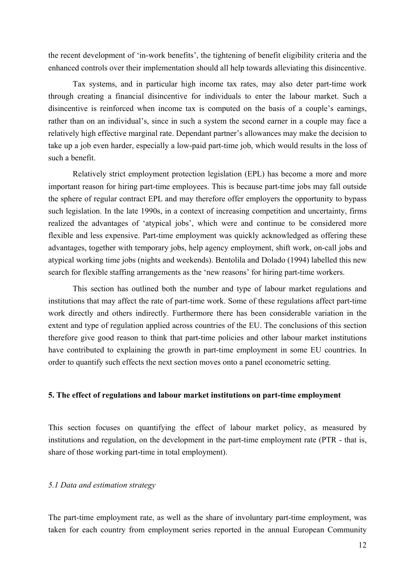the recent development of 'in-work benefits', the tightening of benefit eligibility criteria and the enhanced controls over their implementation should all help towards alleviating this disincentive.

Tax systems, and in particular high income tax rates, may also deter part-time work through creating a financial disincentive for individuals to enter the labour market. Such a disincentive is reinforced when income tax is computed on the basis of a couple's earnings, rather than on an individual's, since in such a system the second earner in a couple may face a relatively high effective marginal rate. Dependant partner's allowances may make the decision to take up a job even harder, especially a low-paid part-time job, which would results in the loss of such a benefit.

Relatively strict employment protection legislation (EPL) has become a more and more important reason for hiring part-time employees. This is because part-time jobs may fall outside the sphere of regular contract EPL and may therefore offer employers the opportunity to bypass such legislation. In the late 1990s, in a context of increasing competition and uncertainty, firms realized the advantages of 'atypical jobs', which were and continue to be considered more flexible and less expensive. Part-time employment was quickly acknowledged as offering these advantages, together with temporary jobs, help agency employment, shift work, on-call jobs and atypical working time jobs (nights and weekends). Bentolila and Dolado (1994) labelled this new search for flexible staffing arrangements as the 'new reasons' for hiring part-time workers.

This section has outlined both the number and type of labour market regulations and institutions that may affect the rate of part-time work. Some of these regulations affect part-time work directly and others indirectly. Furthermore there has been considerable variation in the extent and type of regulation applied across countries of the EU. The conclusions of this section therefore give good reason to think that part-time policies and other labour market institutions have contributed to explaining the growth in part-time employment in some EU countries. In order to quantify such effects the next section moves onto a panel econometric setting.

#### **5. The effect of regulations and labour market institutions on part-time employment**

This section focuses on quantifying the effect of labour market policy, as measured by institutions and regulation, on the development in the part-time employment rate (PTR - that is, share of those working part-time in total employment).

#### *5.1 Data and estimation strategy*

The part-time employment rate, as well as the share of involuntary part-time employment, was taken for each country from employment series reported in the annual European Community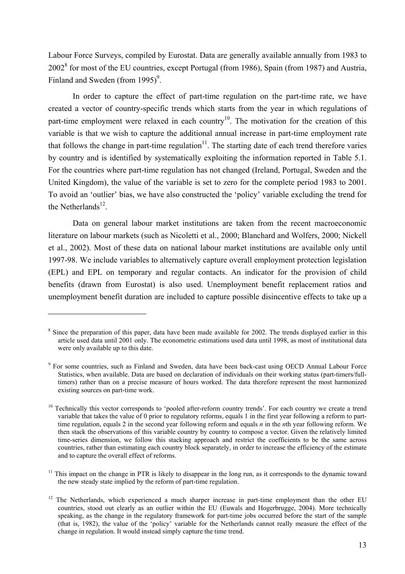Labour Force Surveys, compiled by Eurostat. Data are generally available annually from 1983 to  $2002<sup>8</sup>$  for most of the EU countries, except Portugal (from 1986), Spain (from 1987) and Austria, Finland and Sweden (from  $1995$ )<sup>9</sup>.

In order to capture the effect of part-time regulation on the part-time rate, we have created a vector of country-specific trends which starts from the year in which regulations of part-time employment were relaxed in each country<sup>10</sup>. The motivation for the creation of this variable is that we wish to capture the additional annual increase in part-time employment rate that follows the change in part-time regulation<sup>11</sup>. The starting date of each trend therefore varies by country and is identified by systematically exploiting the information reported in Table 5.1. For the countries where part-time regulation has not changed (Ireland, Portugal, Sweden and the United Kingdom), the value of the variable is set to zero for the complete period 1983 to 2001. To avoid an 'outlier' bias, we have also constructed the 'policy' variable excluding the trend for the Netherlands $^{12}$ .

Data on general labour market institutions are taken from the recent macroeconomic literature on labour markets (such as Nicoletti et al., 2000; Blanchard and Wolfers, 2000; Nickell et al., 2002). Most of these data on national labour market institutions are available only until 1997-98. We include variables to alternatively capture overall employment protection legislation (EPL) and EPL on temporary and regular contacts. An indicator for the provision of child benefits (drawn from Eurostat) is also used. Unemployment benefit replacement ratios and unemployment benefit duration are included to capture possible disincentive effects to take up a

 $\overline{a}$ 

 $8$  Since the preparation of this paper, data have been made available for 2002. The trends displayed earlier in this article used data until 2001 only. The econometric estimations used data until 1998, as most of institutional data were only available up to this date.

<sup>&</sup>lt;sup>9</sup> For some countries, such as Finland and Sweden, data have been back-cast using OECD Annual Labour Force Statistics, when available. Data are based on declaration of individuals on their working status (part-timers/fulltimers) rather than on a precise measure of hours worked. The data therefore represent the most harmonized existing sources on part-time work.

<sup>&</sup>lt;sup>10</sup> Technically this vector corresponds to 'pooled after-reform country trends'. For each country we create a trend variable that takes the value of 0 prior to regulatory reforms, equals 1 in the first year following a reform to parttime regulation, equals 2 in the second year following reform and equals *n* in the *n*th year following reform. We then stack the observations of this variable country by country to compose a vector. Given the relatively limited time-series dimension, we follow this stacking approach and restrict the coefficients to be the same across countries, rather than estimating each country block separately, in order to increase the efficiency of the estimate and to capture the overall effect of reforms.

 $11$  This impact on the change in PTR is likely to disappear in the long run, as it corresponds to the dynamic toward the new steady state implied by the reform of part-time regulation.

<sup>&</sup>lt;sup>12</sup> The Netherlands, which experienced a much sharper increase in part-time employment than the other EU countries, stood out clearly as an outlier within the EU (Euwals and Hogerbrugge, 2004). More technically speaking, as the change in the regulatory framework for part-time jobs occurred before the start of the sample (that is, 1982), the value of the 'policy' variable for the Netherlands cannot really measure the effect of the change in regulation. It would instead simply capture the time trend.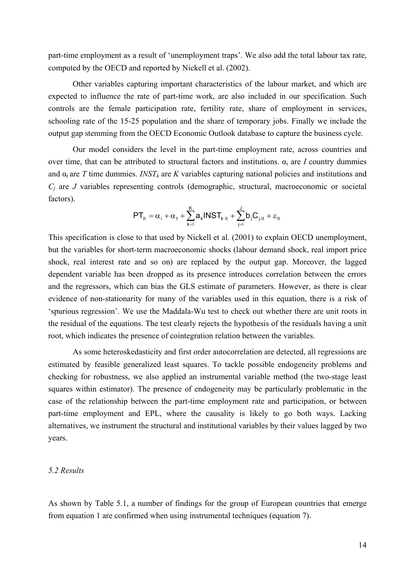part-time employment as a result of 'unemployment traps'. We also add the total labour tax rate, computed by the OECD and reported by Nickell et al. (2002).

Other variables capturing important characteristics of the labour market, and which are expected to influence the rate of part-time work, are also included in our specification. Such controls are the female participation rate, fertility rate, share of employment in services, schooling rate of the 15-25 population and the share of temporary jobs. Finally we include the output gap stemming from the OECD Economic Outlook database to capture the business cycle.

Our model considers the level in the part-time employment rate, across countries and over time, that can be attributed to structural factors and institutions. αi are *I* country dummies and  $\alpha_t$  are *T* time dummies. *INST<sub>k</sub>* are *K* variables capturing national policies and institutions and  $C_i$  are *J* variables representing controls (demographic, structural, macroeconomic or societal factors).

$$
PT_{it} = \alpha_i + \alpha_t + \sum_{k=1}^K a_k \text{INST}_{k \text{ it}} + \sum_{j=1}^J b_j C_{j \text{ it}} + \epsilon_{it}
$$

This specification is close to that used by Nickell et al. (2001) to explain OECD unemployment, but the variables for short-term macroeconomic shocks (labour demand shock, real import price shock, real interest rate and so on) are replaced by the output gap. Moreover, the lagged dependent variable has been dropped as its presence introduces correlation between the errors and the regressors, which can bias the GLS estimate of parameters. However, as there is clear evidence of non-stationarity for many of the variables used in this equation, there is a risk of 'spurious regression'. We use the Maddala-Wu test to check out whether there are unit roots in the residual of the equations. The test clearly rejects the hypothesis of the residuals having a unit root, which indicates the presence of cointegration relation between the variables.

As some heteroskedasticity and first order autocorrelation are detected, all regressions are estimated by feasible generalized least squares. To tackle possible endogeneity problems and checking for robustness, we also applied an instrumental variable method (the two-stage least squares within estimator). The presence of endogeneity may be particularly problematic in the case of the relationship between the part-time employment rate and participation, or between part-time employment and EPL, where the causality is likely to go both ways. Lacking alternatives, we instrument the structural and institutional variables by their values lagged by two years.

#### *5.2 Results*

As shown by Table 5.1, a number of findings for the group of European countries that emerge from equation 1 are confirmed when using instrumental techniques (equation 7).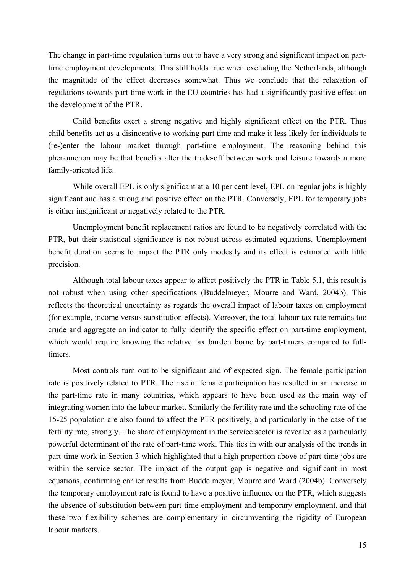The change in part-time regulation turns out to have a very strong and significant impact on parttime employment developments. This still holds true when excluding the Netherlands, although the magnitude of the effect decreases somewhat. Thus we conclude that the relaxation of regulations towards part-time work in the EU countries has had a significantly positive effect on the development of the PTR.

Child benefits exert a strong negative and highly significant effect on the PTR. Thus child benefits act as a disincentive to working part time and make it less likely for individuals to (re-)enter the labour market through part-time employment. The reasoning behind this phenomenon may be that benefits alter the trade-off between work and leisure towards a more family-oriented life.

While overall EPL is only significant at a 10 per cent level, EPL on regular jobs is highly significant and has a strong and positive effect on the PTR. Conversely, EPL for temporary jobs is either insignificant or negatively related to the PTR.

Unemployment benefit replacement ratios are found to be negatively correlated with the PTR, but their statistical significance is not robust across estimated equations. Unemployment benefit duration seems to impact the PTR only modestly and its effect is estimated with little precision.

Although total labour taxes appear to affect positively the PTR in Table 5.1, this result is not robust when using other specifications (Buddelmeyer, Mourre and Ward, 2004b). This reflects the theoretical uncertainty as regards the overall impact of labour taxes on employment (for example, income versus substitution effects). Moreover, the total labour tax rate remains too crude and aggregate an indicator to fully identify the specific effect on part-time employment, which would require knowing the relative tax burden borne by part-timers compared to fulltimers.

Most controls turn out to be significant and of expected sign. The female participation rate is positively related to PTR. The rise in female participation has resulted in an increase in the part-time rate in many countries, which appears to have been used as the main way of integrating women into the labour market. Similarly the fertility rate and the schooling rate of the 15-25 population are also found to affect the PTR positively, and particularly in the case of the fertility rate, strongly. The share of employment in the service sector is revealed as a particularly powerful determinant of the rate of part-time work. This ties in with our analysis of the trends in part-time work in Section 3 which highlighted that a high proportion above of part-time jobs are within the service sector. The impact of the output gap is negative and significant in most equations, confirming earlier results from Buddelmeyer, Mourre and Ward (2004b). Conversely the temporary employment rate is found to have a positive influence on the PTR, which suggests the absence of substitution between part-time employment and temporary employment, and that these two flexibility schemes are complementary in circumventing the rigidity of European labour markets.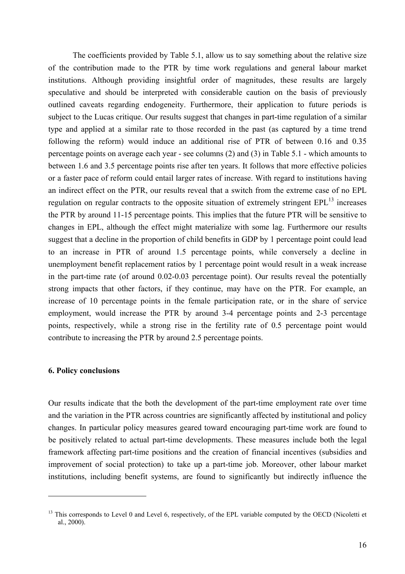The coefficients provided by Table 5.1, allow us to say something about the relative size of the contribution made to the PTR by time work regulations and general labour market institutions. Although providing insightful order of magnitudes, these results are largely speculative and should be interpreted with considerable caution on the basis of previously outlined caveats regarding endogeneity. Furthermore, their application to future periods is subject to the Lucas critique. Our results suggest that changes in part-time regulation of a similar type and applied at a similar rate to those recorded in the past (as captured by a time trend following the reform) would induce an additional rise of PTR of between 0.16 and 0.35 percentage points on average each year - see columns (2) and (3) in Table 5.1 - which amounts to between 1.6 and 3.5 percentage points rise after ten years. It follows that more effective policies or a faster pace of reform could entail larger rates of increase. With regard to institutions having an indirect effect on the PTR, our results reveal that a switch from the extreme case of no EPL regulation on regular contracts to the opposite situation of extremely stringent EPL<sup>13</sup> increases the PTR by around 11-15 percentage points. This implies that the future PTR will be sensitive to changes in EPL, although the effect might materialize with some lag. Furthermore our results suggest that a decline in the proportion of child benefits in GDP by 1 percentage point could lead to an increase in PTR of around 1.5 percentage points, while conversely a decline in unemployment benefit replacement ratios by 1 percentage point would result in a weak increase in the part-time rate (of around 0.02-0.03 percentage point). Our results reveal the potentially strong impacts that other factors, if they continue, may have on the PTR. For example, an increase of 10 percentage points in the female participation rate, or in the share of service employment, would increase the PTR by around 3-4 percentage points and 2-3 percentage points, respectively, while a strong rise in the fertility rate of 0.5 percentage point would contribute to increasing the PTR by around 2.5 percentage points.

#### **6. Policy conclusions**

 $\overline{a}$ 

Our results indicate that the both the development of the part-time employment rate over time and the variation in the PTR across countries are significantly affected by institutional and policy changes. In particular policy measures geared toward encouraging part-time work are found to be positively related to actual part-time developments. These measures include both the legal framework affecting part-time positions and the creation of financial incentives (subsidies and improvement of social protection) to take up a part-time job. Moreover, other labour market institutions, including benefit systems, are found to significantly but indirectly influence the

<sup>&</sup>lt;sup>13</sup> This corresponds to Level 0 and Level 6, respectively, of the EPL variable computed by the OECD (Nicoletti et al., 2000).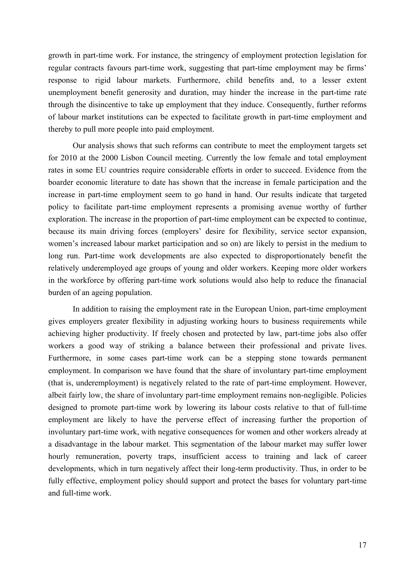growth in part-time work. For instance, the stringency of employment protection legislation for regular contracts favours part-time work, suggesting that part-time employment may be firms' response to rigid labour markets. Furthermore, child benefits and, to a lesser extent unemployment benefit generosity and duration, may hinder the increase in the part-time rate through the disincentive to take up employment that they induce. Consequently, further reforms of labour market institutions can be expected to facilitate growth in part-time employment and thereby to pull more people into paid employment.

Our analysis shows that such reforms can contribute to meet the employment targets set for 2010 at the 2000 Lisbon Council meeting. Currently the low female and total employment rates in some EU countries require considerable efforts in order to succeed. Evidence from the boarder economic literature to date has shown that the increase in female participation and the increase in part-time employment seem to go hand in hand. Our results indicate that targeted policy to facilitate part-time employment represents a promising avenue worthy of further exploration. The increase in the proportion of part-time employment can be expected to continue, because its main driving forces (employers' desire for flexibility, service sector expansion, women's increased labour market participation and so on) are likely to persist in the medium to long run. Part-time work developments are also expected to disproportionately benefit the relatively underemployed age groups of young and older workers. Keeping more older workers in the workforce by offering part-time work solutions would also help to reduce the finanacial burden of an ageing population.

In addition to raising the employment rate in the European Union, part-time employment gives employers greater flexibility in adjusting working hours to business requirements while achieving higher productivity. If freely chosen and protected by law, part-time jobs also offer workers a good way of striking a balance between their professional and private lives. Furthermore, in some cases part-time work can be a stepping stone towards permanent employment. In comparison we have found that the share of involuntary part-time employment (that is, underemployment) is negatively related to the rate of part-time employment. However, albeit fairly low, the share of involuntary part-time employment remains non-negligible. Policies designed to promote part-time work by lowering its labour costs relative to that of full-time employment are likely to have the perverse effect of increasing further the proportion of involuntary part-time work, with negative consequences for women and other workers already at a disadvantage in the labour market. This segmentation of the labour market may suffer lower hourly remuneration, poverty traps, insufficient access to training and lack of career developments, which in turn negatively affect their long-term productivity. Thus, in order to be fully effective, employment policy should support and protect the bases for voluntary part-time and full-time work.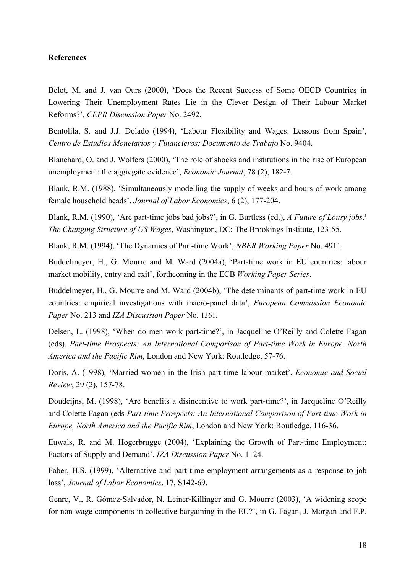#### **References**

Belot, M. and J. van Ours (2000), 'Does the Recent Success of Some OECD Countries in Lowering Their Unemployment Rates Lie in the Clever Design of Their Labour Market Reforms?'*, CEPR Discussion Paper* No. 2492.

Bentolila, S. and J.J. Dolado (1994), 'Labour Flexibility and Wages: Lessons from Spain', *Centro de Estudios Monetarios y Financieros: Documento de Trabajo* No. 9404.

Blanchard, O. and J. Wolfers (2000), 'The role of shocks and institutions in the rise of European unemployment: the aggregate evidence', *Economic Journal*, 78 (2), 182-7.

Blank, R.M. (1988), 'Simultaneously modelling the supply of weeks and hours of work among female household heads', *Journal of Labor Economics*, 6 (2), 177-204.

Blank, R.M. (1990), 'Are part-time jobs bad jobs?', in G. Burtless (ed.), *A Future of Lousy jobs? The Changing Structure of US Wages*, Washington, DC: The Brookings Institute, 123-55.

Blank, R.M. (1994), 'The Dynamics of Part-time Work', *NBER Working Paper* No. 4911.

Buddelmeyer, H., G. Mourre and M. Ward (2004a), 'Part-time work in EU countries: labour market mobility, entry and exit', forthcoming in the ECB *Working Paper Series*.

Buddelmeyer, H., G. Mourre and M. Ward (2004b), 'The determinants of part-time work in EU countries: empirical investigations with macro-panel data', *European Commission Economic Paper* No. 213 and *IZA Discussion Paper* No. 1361.

Delsen, L. (1998), 'When do men work part-time?', in Jacqueline O'Reilly and Colette Fagan (eds), *Part-time Prospects: An International Comparison of Part-time Work in Europe, North America and the Pacific Rim*, London and New York: Routledge, 57-76.

Doris, A. (1998), 'Married women in the Irish part-time labour market', *Economic and Social Review*, 29 (2), 157-78.

Doudeijns, M. (1998), 'Are benefits a disincentive to work part-time?', in Jacqueline O'Reilly and Colette Fagan (eds *Part-time Prospects: An International Comparison of Part-time Work in Europe, North America and the Pacific Rim*, London and New York: Routledge, 116-36.

Euwals, R. and M. Hogerbrugge (2004), 'Explaining the Growth of Part-time Employment: Factors of Supply and Demand', *IZA Discussion Paper* No. 1124.

Faber, H.S. (1999), 'Alternative and part-time employment arrangements as a response to job loss', *Journal of Labor Economics*, 17, S142-69.

Genre, V., R. Gómez-Salvador, N. Leiner-Killinger and G. Mourre (2003), 'A widening scope for non-wage components in collective bargaining in the EU?', in G. Fagan, J. Morgan and F.P.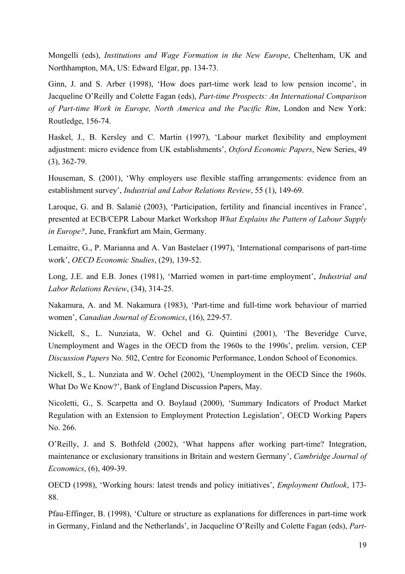Mongelli (eds), *Institutions and Wage Formation in the New Europe*, Cheltenham, UK and Northhampton, MA, US: Edward Elgar, pp. 134-73.

Ginn, J. and S. Arber (1998), 'How does part-time work lead to low pension income', in Jacqueline O'Reilly and Colette Fagan (eds), *Part-time Prospects: An International Comparison of Part-time Work in Europe, North America and the Pacific Rim*, London and New York: Routledge, 156-74.

Haskel, J., B. Kersley and C. Martin (1997), 'Labour market flexibility and employment adjustment: micro evidence from UK establishments', *Oxford Economic Papers*, New Series, 49 (3), 362-79.

Houseman, S. (2001), 'Why employers use flexible staffing arrangements: evidence from an establishment survey', *Industrial and Labor Relations Review*, 55 (1), 149-69.

Laroque, G. and B. Salanié (2003), 'Participation, fertility and financial incentives in France', presented at ECB/CEPR Labour Market Workshop *What Explains the Pattern of Labour Supply in Europe?*, June, Frankfurt am Main, Germany.

Lemaitre, G., P. Marianna and A. Van Bastelaer (1997), 'International comparisons of part-time work', *OECD Economic Studies*, (29), 139-52.

Long, J.E. and E.B. Jones (1981), 'Married women in part-time employment', *Industrial and Labor Relations Review*, (34), 314-25.

Nakamura, A. and M. Nakamura (1983), 'Part-time and full-time work behaviour of married women', *Canadian Journal of Economics*, (16), 229-57.

Nickell, S., L. Nunziata, W. Ochel and G. Quintini (2001), 'The Beveridge Curve, Unemployment and Wages in the OECD from the 1960s to the 1990s', prelim. version, CEP *Discussion Papers* No. 502, Centre for Economic Performance, London School of Economics.

Nickell, S., L. Nunziata and W. Ochel (2002), 'Unemployment in the OECD Since the 1960s. What Do We Know?', Bank of England Discussion Papers, May.

Nicoletti, G., S. Scarpetta and O. Boylaud (2000), 'Summary Indicators of Product Market Regulation with an Extension to Employment Protection Legislation', OECD Working Papers No. 266.

O'Reilly, J. and S. Bothfeld (2002), 'What happens after working part-time? Integration, maintenance or exclusionary transitions in Britain and western Germany', *Cambridge Journal of Economics*, (6), 409-39.

OECD (1998), 'Working hours: latest trends and policy initiatives', *Employment Outlook*, 173- 88.

Pfau-Effinger, B. (1998), 'Culture or structure as explanations for differences in part-time work in Germany, Finland and the Netherlands', in Jacqueline O'Reilly and Colette Fagan (eds), *Part-*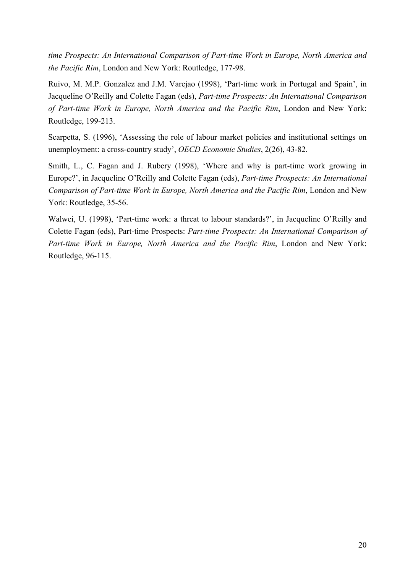*time Prospects: An International Comparison of Part-time Work in Europe, North America and the Pacific Rim*, London and New York: Routledge, 177-98.

Ruivo, M. M.P. Gonzalez and J.M. Varejao (1998), 'Part-time work in Portugal and Spain', in Jacqueline O'Reilly and Colette Fagan (eds), *Part-time Prospects: An International Comparison of Part-time Work in Europe, North America and the Pacific Rim*, London and New York: Routledge, 199-213.

Scarpetta, S. (1996), 'Assessing the role of labour market policies and institutional settings on unemployment: a cross-country study', *OECD Economic Studies*, 2(26), 43-82.

Smith, L., C. Fagan and J. Rubery (1998), 'Where and why is part-time work growing in Europe?', in Jacqueline O'Reilly and Colette Fagan (eds), *Part-time Prospects: An International Comparison of Part-time Work in Europe, North America and the Pacific Rim*, London and New York: Routledge, 35-56.

Walwei, U. (1998), 'Part-time work: a threat to labour standards?', in Jacqueline O'Reilly and Colette Fagan (eds), Part-time Prospects: *Part-time Prospects: An International Comparison of Part-time Work in Europe, North America and the Pacific Rim*, London and New York: Routledge, 96-115.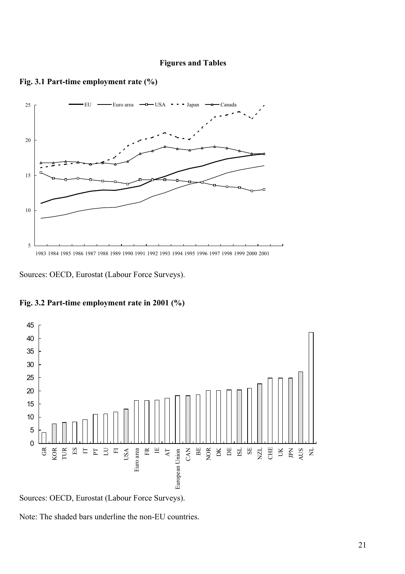



Sources: OECD, Eurostat (Labour Force Surveys).





Sources: OECD, Eurostat (Labour Force Surveys).

Note: The shaded bars underline the non-EU countries.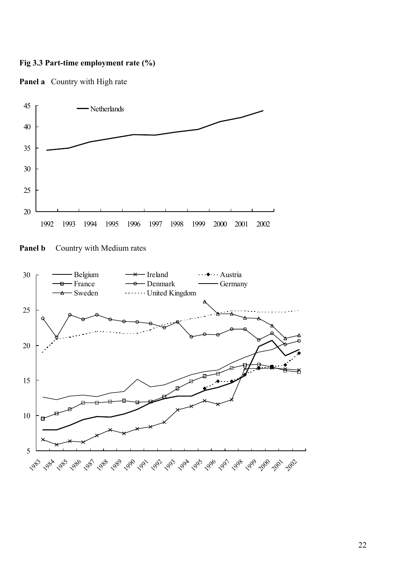#### **Fig 3.3 Part-time employment rate (%)**







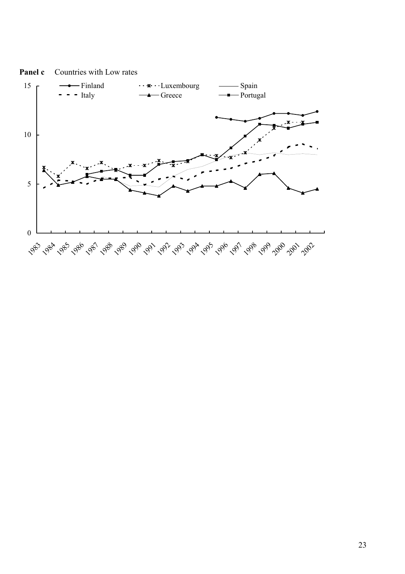

Panel c Countries with Low rates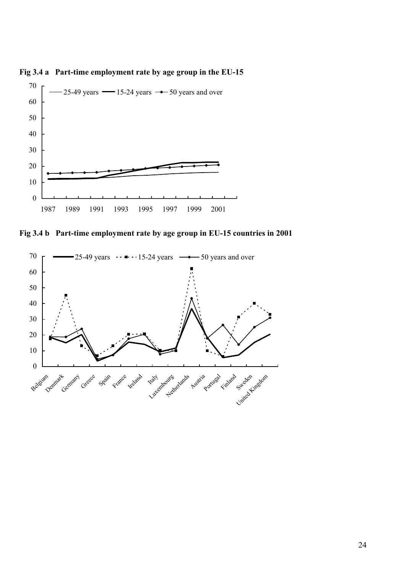

**Fig 3.4 a Part-time employment rate by age group in the EU-15** 

**Fig 3.4 b Part-time employment rate by age group in EU-15 countries in 2001**

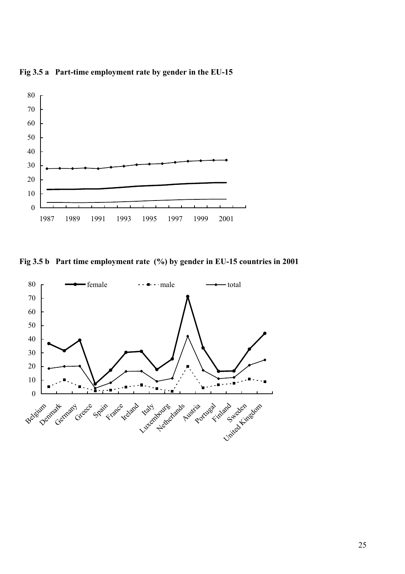

**Fig 3.5 a Part-time employment rate by gender in the EU-15** 

**Fig 3.5 b Part time employment rate (%) by gender in EU-15 countries in 2001** 

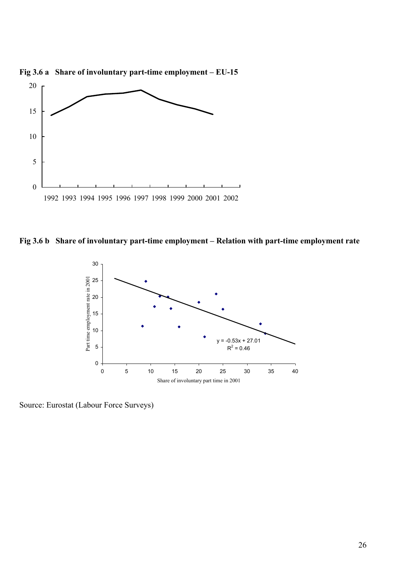

**Fig 3.6 a Share of involuntary part-time employment – EU-15**

**Fig 3.6 b Share of involuntary part-time employment – Relation with part-time employment rate** 



Source: Eurostat (Labour Force Surveys)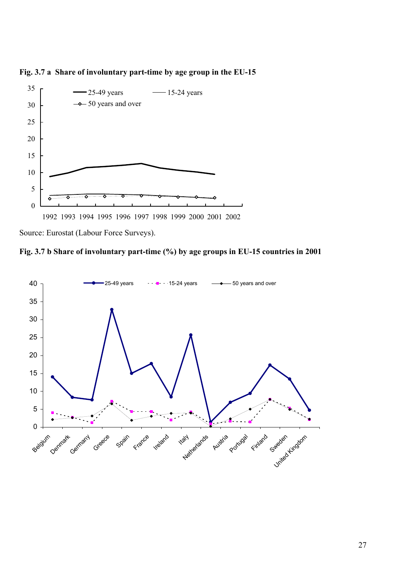

**Fig. 3.7 a Share of involuntary part-time by age group in the EU-15** 

Source: Eurostat (Labour Force Surveys).



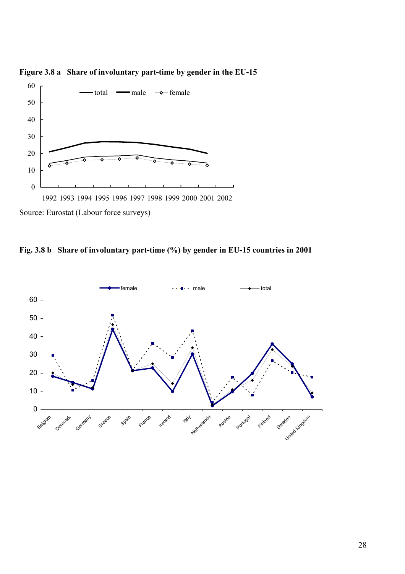

**Figure 3.8 a Share of involuntary part-time by gender in the EU-15** 



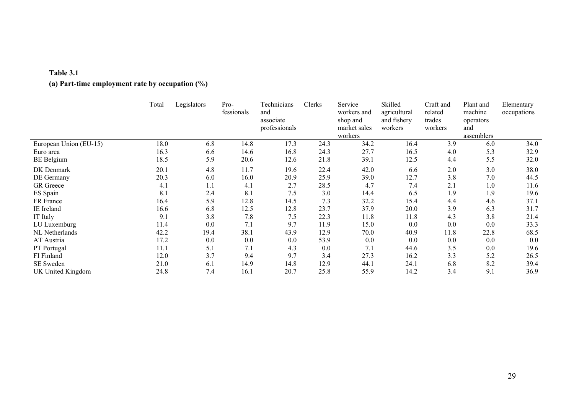#### **Table 3.1**

### **(a) Part-time employment rate by occupation (%)**

|                        | Total | Legislators | Pro-<br>fessionals | Technicians<br>and<br>associate<br>professionals | Clerks | Service<br>workers and<br>shop and<br>market sales<br>workers | Skilled<br>agricultural<br>and fishery<br>workers | Craft and<br>related<br>trades<br>workers | Plant and<br>machine<br>operators<br>and<br>assemblers | Elementary<br>occupations |
|------------------------|-------|-------------|--------------------|--------------------------------------------------|--------|---------------------------------------------------------------|---------------------------------------------------|-------------------------------------------|--------------------------------------------------------|---------------------------|
| European Union (EU-15) | 18.0  | 6.8         | 14.8               | 17.3                                             | 24.3   | 34.2                                                          | 16.4                                              | 3.9                                       | 6.0                                                    | 34.0                      |
| Euro area              | 16.3  | 6.6         | 14.6               | 16.8                                             | 24.3   | 27.7                                                          | 16.5                                              | 4.0                                       | 5.3                                                    | 32.9                      |
| BE Belgium             | 18.5  | 5.9         | 20.6               | 12.6                                             | 21.8   | 39.1                                                          | 12.5                                              | 4.4                                       | 5.5                                                    | 32.0                      |
| DK Denmark             | 20.1  | 4.8         | 11.7               | 19.6                                             | 22.4   | 42.0                                                          | 6.6                                               | 2.0                                       | 3.0                                                    | 38.0                      |
| DE Germany             | 20.3  | 6.0         | 16.0               | 20.9                                             | 25.9   | 39.0                                                          | 12.7                                              | 3.8                                       | 7.0                                                    | 44.5                      |
| GR Greece              | 4.1   | 1.1         | 4.1                | 2.7                                              | 28.5   | 4.7                                                           | 7.4                                               | 2.1                                       | 1.0                                                    | 11.6                      |
| ES Spain               | 8.1   | 2.4         | 8.1                | 7.5                                              | 3.0    | 14.4                                                          | 6.5                                               | 1.9                                       | 1.9                                                    | 19.6                      |
| FR France              | 16.4  | 5.9         | 12.8               | 14.5                                             | 7.3    | 32.2                                                          | 15.4                                              | 4.4                                       | 4.6                                                    | 37.1                      |
| IE Ireland             | 16.6  | 6.8         | 12.5               | 12.8                                             | 23.7   | 37.9                                                          | 20.0                                              | 3.9                                       | 6.3                                                    | 31.7                      |
| IT Italy               | 9.1   | 3.8         | 7.8                | 7.5                                              | 22.3   | 11.8                                                          | 11.8                                              | 4.3                                       | 3.8                                                    | 21.4                      |
| LU Luxemburg           | 11.4  | 0.0         | 7.1                | 9.7                                              | 11.9   | 15.0                                                          | 0.0                                               | 0.0                                       | 0.0                                                    | 33.3                      |
| NL Netherlands         | 42.2  | 19.4        | 38.1               | 43.9                                             | 12.9   | 70.0                                                          | 40.9                                              | 11.8                                      | 22.8                                                   | 68.5                      |
| AT Austria             | 17.2  | 0.0         | 0.0                | 0.0                                              | 53.9   | 0.0                                                           | 0.0                                               | 0.0                                       | 0.0                                                    | 0.0                       |
| PT Portugal            | 11.1  | 5.1         | 7.1                | 4.3                                              | 0.0    | 7.1                                                           | 44.6                                              | 3.5                                       | 0.0                                                    | 19.6                      |
| FI Finland             | 12.0  | 3.7         | 9.4                | 9.7                                              | 3.4    | 27.3                                                          | 16.2                                              | 3.3                                       | 5.2                                                    | 26.5                      |
| SE Sweden              | 21.0  | 6.1         | 14.9               | 14.8                                             | 12.9   | 44.1                                                          | 24.1                                              | 6.8                                       | 8.2                                                    | 39.4                      |
| UK United Kingdom      | 24.8  | 7.4         | 16.1               | 20.7                                             | 25.8   | 55.9                                                          | 14.2                                              | 3.4                                       | 9.1                                                    | 36.9                      |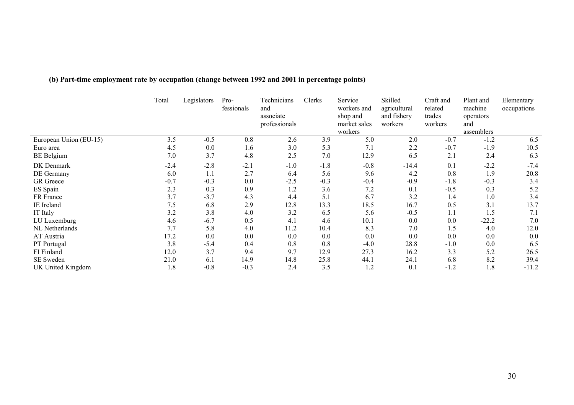|                        | Total  | Legislators | Pro-<br>fessionals | Technicians<br>and | Clerks | Service<br>workers and  | Skilled<br>agricultural | Craft and<br>related | Plant and<br>machine | Elementary<br>occupations |
|------------------------|--------|-------------|--------------------|--------------------|--------|-------------------------|-------------------------|----------------------|----------------------|---------------------------|
|                        |        |             |                    | associate          |        | shop and                | and fishery             | trades               | operators            |                           |
|                        |        |             |                    | professionals      |        | market sales<br>workers | workers                 | workers              | and<br>assemblers    |                           |
| European Union (EU-15) | 3.5    | $-0.5$      | 0.8                | 2.6                | 3.9    | 5.0                     | 2.0                     | $-0.7$               | $-1.2$               | 6.5                       |
| Euro area              | 4.5    | 0.0         | 1.6                | 3.0                | 5.3    | 7.1                     | 2.2                     | $-0.7$               | $-1.9$               | 10.5                      |
| <b>BE</b> Belgium      | 7.0    | 3.7         | 4.8                | 2.5                | 7.0    | 12.9                    | 6.5                     | 2.1                  | 2.4                  | 6.3                       |
| DK Denmark             | $-2.4$ | $-2.8$      | $-2.1$             | $-1.0$             | $-1.8$ | $-0.8$                  | $-14.4$                 | 0.1                  | $-2.2$               | $-7.4$                    |
| DE Germany             | 6.0    | 1.1         | 2.7                | 6.4                | 5.6    | 9.6                     | 4.2                     | 0.8                  | 1.9                  | 20.8                      |
| GR Greece              | $-0.7$ | $-0.3$      | 0.0                | $-2.5$             | $-0.3$ | $-0.4$                  | $-0.9$                  | $-1.8$               | $-0.3$               | 3.4                       |
| ES Spain               | 2.3    | 0.3         | 0.9                | 1.2                | 3.6    | 7.2                     | 0.1                     | $-0.5$               | 0.3                  | 5.2                       |
| FR France              | 3.7    | $-3.7$      | 4.3                | 4.4                | 5.1    | 6.7                     | 3.2                     | 1.4                  | 1.0                  | 3.4                       |
| IE Ireland             | 7.5    | 6.8         | 2.9                | 12.8               | 13.3   | 18.5                    | 16.7                    | 0.5                  | 3.1                  | 13.7                      |
| IT Italy               | 3.2    | 3.8         | 4.0                | 3.2                | 6.5    | 5.6                     | $-0.5$                  | 1.1                  | 1.5                  | 7.1                       |
| LU Luxemburg           | 4.6    | $-6.7$      | 0.5                | 4.1                | 4.6    | 10.1                    | 0.0                     | 0.0                  | $-22.2$              | 7.0                       |
| NL Netherlands         | 7.7    | 5.8         | 4.0                | 11.2               | 10.4   | 8.3                     | 7.0                     | 1.5                  | 4.0                  | 12.0                      |
| AT Austria             | 17.2   | 0.0         | 0.0                | 0.0                | 0.0    | 0.0                     | 0.0                     | 0.0                  | 0.0                  | 0.0                       |
| PT Portugal            | 3.8    | $-5.4$      | 0.4                | 0.8                | 0.8    | $-4.0$                  | 28.8                    | $-1.0$               | 0.0                  | 6.5                       |
| FI Finland             | 12.0   | 3.7         | 9.4                | 9.7                | 12.9   | 27.3                    | 16.2                    | 3.3                  | 5.2                  | 26.5                      |
| SE Sweden              | 21.0   | 6.1         | 14.9               | 14.8               | 25.8   | 44.1                    | 24.1                    | 6.8                  | 8.2                  | 39.4                      |
| UK United Kingdom      | 1.8    | $-0.8$      | $-0.3$             | 2.4                | 3.5    | 1.2                     | 0.1                     | $-1.2$               | 1.8                  | $-11.2$                   |

### **(b) Part-time employment rate by occupation (change between 1992 and 2001 in percentage points)**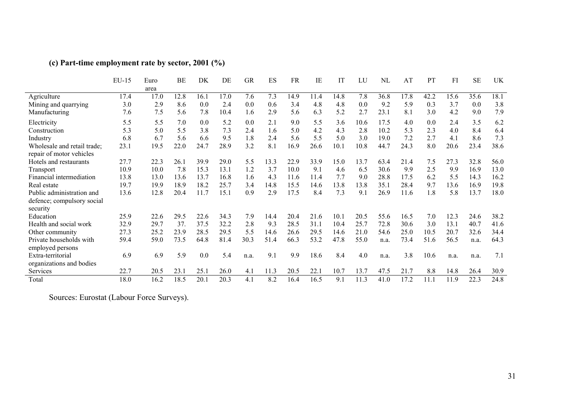# **(c) Part-time employment rate by sector, 2001 (%)**

|                             | $EU-15$ | Euro | BE   | DK   | DE   | <b>GR</b> | ES   | <b>FR</b> | IΕ   | IT   | LU   | NL   | AT   | PT   | FI   | <b>SE</b> | UK   |
|-----------------------------|---------|------|------|------|------|-----------|------|-----------|------|------|------|------|------|------|------|-----------|------|
|                             |         | area |      |      |      |           |      |           |      |      |      |      |      |      |      |           |      |
| Agriculture                 | 17.4    | 17.0 | 12.8 | 16.1 | 17.0 | 7.6       | 7.3  | 14.9      | 11.4 | 14.8 | 7.8  | 36.8 | 17.8 | 42.2 | 15.6 | 35.6      | 18.1 |
| Mining and quarrying        | 3.0     | 2.9  | 8.6  | 0.0  | 2.4  | 0.0       | 0.6  | 3.4       | 4.8  | 4.8  | 0.0  | 9.2  | 5.9  | 0.3  | 3.7  | 0.0       | 3.8  |
| Manufacturing               | 7.6     | 7.5  | 5.6  | 7.8  | 10.4 | 1.6       | 2.9  | 5.6       | 6.3  | 5.2  | 2.7  | 23.1 | 8.1  | 3.0  | 4.2  | 9.0       | 7.9  |
| Electricity                 | 5.5     | 5.5  | 7.0  | 0.0  | 5.2  | 0.0       | 2.1  | 9.0       | 5.5  | 3.6  | 10.6 | 17.5 | 4.0  | 0.0  | 2.4  | 3.5       | 6.2  |
| Construction                | 5.3     | 5.0  | 5.5  | 3.8  | 7.3  | 2.4       | 1.6  | 5.0       | 4.2  | 4.3  | 2.8  | 10.2 | 5.3  | 2.3  | 4.0  | 8.4       | 6.4  |
| Industry                    | 6.8     | 6.7  | 5.6  | 6.6  | 9.5  | 1.8       | 2.4  | 5.6       | 5.5  | 5.0  | 3.0  | 19.0 | 7.2  | 2.7  | 4.1  | 8.6       | 7.3  |
| Wholesale and retail trade; | 23.1    | 19.5 | 22.0 | 24.7 | 28.9 | 3.2       | 8.1  | 16.9      | 26.6 | 10.1 | 10.8 | 44.7 | 24.3 | 8.0  | 20.6 | 23.4      | 38.6 |
| repair of motor vehicles    |         |      |      |      |      |           |      |           |      |      |      |      |      |      |      |           |      |
| Hotels and restaurants      | 27.7    | 22.3 | 26.1 | 39.9 | 29.0 | 5.5       | 13.3 | 22.9      | 33.9 | 15.0 | 13.7 | 63.4 | 21.4 | 7.5  | 27.3 | 32.8      | 56.0 |
| Transport                   | 10.9    | 10.0 | 7.8  | 15.3 | 13.1 | 1.2       | 3.7  | 10.0      | 9.1  | 4.6  | 6.5  | 30.6 | 9.9  | 2.5  | 9.9  | 16.9      | 13.0 |
| Financial intermediation    | 13.8    | 13.0 | 13.6 | 13.7 | 16.8 | 1.6       | 4.3  | 11.6      | 11.4 | 7.7  | 9.0  | 28.8 | 17.5 | 6.2  | 5.5  | 14.3      | 16.2 |
| Real estate                 | 19.7    | 19.9 | 18.9 | 18.2 | 25.7 | 3.4       | 14.8 | 15.5      | 14.6 | 13.8 | 13.8 | 35.1 | 28.4 | 9.7  | 13.6 | 16.9      | 19.8 |
| Public administration and   | 13.6    | 12.8 | 20.4 | 11.7 | 15.1 | 0.9       | 2.9  | 17.5      | 8.4  | 7.3  | 9.1  | 26.9 | 11.6 | 1.8  | 5.8  | 13.7      | 18.0 |
| defence; compulsory social  |         |      |      |      |      |           |      |           |      |      |      |      |      |      |      |           |      |
| security                    |         |      |      |      |      |           |      |           |      |      |      |      |      |      |      |           |      |
| Education                   | 25.9    | 22.6 | 29.5 | 22.6 | 34.3 | 7.9       | 14.4 | 20.4      | 21.6 | 10.1 | 20.5 | 55.6 | 16.5 | 7.0  | 12.3 | 24.6      | 38.2 |
| Health and social work      | 32.9    | 29.7 | 37.  | 37.5 | 32.2 | 2.8       | 9.3  | 28.5      | 31.1 | 10.4 | 25.7 | 72.8 | 30.6 | 3.0  | 13.1 | 40.7      | 41.6 |
| Other community             | 27.3    | 25.2 | 23.9 | 28.5 | 29.5 | 5.5       | 14.6 | 26.6      | 29.5 | 14.6 | 21.0 | 54.6 | 25.0 | 10.5 | 20.7 | 32.6      | 34.4 |
| Private households with     | 59.4    | 59.0 | 73.5 | 64.8 | 81.4 | 30.3      | 51.4 | 66.3      | 53.2 | 47.8 | 55.0 | n.a. | 73.4 | 51.6 | 56.5 | n.a.      | 64.3 |
| employed persons            |         |      |      |      |      |           |      |           |      |      |      |      |      |      |      |           |      |
| Extra-territorial           | 6.9     | 6.9  | 5.9  | 0.0  | 5.4  | n.a.      | 9.1  | 9.9       | 18.6 | 8.4  | 4.0  | n.a. | 3.8  | 10.6 | n.a. | n.a.      | 7.1  |
| organizations and bodies    |         |      |      |      |      |           |      |           |      |      |      |      |      |      |      |           |      |
| Services                    | 22.7    | 20.5 | 23.1 | 25.1 | 26.0 | 4.1       | 11.3 | 20.5      | 22.1 | 10.7 | 13.7 | 47.5 | 21.7 | 8.8  | 14.8 | 26.4      | 30.9 |
| Total                       | 18.0    | 16.2 | 18.5 | 20.1 | 20.3 | 4.1       | 8.2  | 16.4      | 16.5 | 9.1  | 11.3 | 41.0 | 17.2 | 11.1 | 11.9 | 22.3      | 24.8 |

Sources: Eurostat (Labour Force Surveys).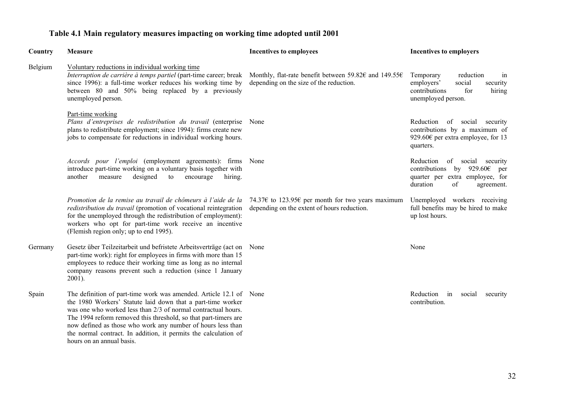# **Table 4.1 Main regulatory measures impacting on working time adopted until 2001**

| Country | <b>Measure</b>                                                                                                                                                                                                                                                                                                                                                                                                                       | <b>Incentives to employees</b>                                                                                       | <b>Incentives to employers</b>                                                                                                                    |  |  |
|---------|--------------------------------------------------------------------------------------------------------------------------------------------------------------------------------------------------------------------------------------------------------------------------------------------------------------------------------------------------------------------------------------------------------------------------------------|----------------------------------------------------------------------------------------------------------------------|---------------------------------------------------------------------------------------------------------------------------------------------------|--|--|
| Belgium | Voluntary reductions in individual working time<br>Interruption de carrière à temps partiel (part-time career; break<br>since 1996): a full-time worker reduces his working time by<br>between 80 and 50% being replaced by a previously<br>unemployed person.                                                                                                                                                                       | Monthly, flat-rate benefit between 59.82 $\epsilon$ and 149.55 $\epsilon$<br>depending on the size of the reduction. | Temporary<br>reduction<br>in<br>employers'<br>social<br>security<br>contributions<br>for<br>hiring<br>unemployed person.                          |  |  |
|         | Part-time working<br>Plans d'entreprises de redistribution du travail (enterprise None<br>plans to redistribute employment; since 1994): firms create new<br>jobs to compensate for reductions in individual working hours.                                                                                                                                                                                                          |                                                                                                                      | Reduction<br>of social<br>security<br>contributions by a maximum of<br>929.60 $\epsilon$ per extra employee, for 13<br>quarters.                  |  |  |
|         | Accords pour l'emploi (employment agreements): firms None<br>introduce part-time working on a voluntary basis together with<br>another<br>designed<br>measure<br>encourage<br>to<br>hiring.                                                                                                                                                                                                                                          |                                                                                                                      | Reduction<br>of<br>social security<br>contributions<br>by $929.60\epsilon$ per<br>quarter per extra employee, for<br>duration<br>of<br>agreement. |  |  |
|         | Promotion de la remise au travail de chômeurs à l'aide de la<br>redistribution du travail (promotion of vocational reintegration<br>for the unemployed through the redistribution of employment):<br>workers who opt for part-time work receive an incentive<br>(Flemish region only; up to end 1995).                                                                                                                               | 74.37 $\epsilon$ to 123.95 $\epsilon$ per month for two years maximum<br>depending on the extent of hours reduction. | Unemployed workers receiving<br>full benefits may be hired to make<br>up lost hours.                                                              |  |  |
| Germany | Gesetz über Teilzeitarbeit und befristete Arbeitsverträge (act on None<br>part-time work): right for employees in firms with more than 15<br>employees to reduce their working time as long as no internal<br>company reasons prevent such a reduction (since 1 January<br>$2001$ ).                                                                                                                                                 |                                                                                                                      | None                                                                                                                                              |  |  |
| Spain   | The definition of part-time work was amended. Article 12.1 of None<br>the 1980 Workers' Statute laid down that a part-time worker<br>was one who worked less than 2/3 of normal contractual hours.<br>The 1994 reform removed this threshold, so that part-timers are<br>now defined as those who work any number of hours less than<br>the normal contract. In addition, it permits the calculation of<br>hours on an annual basis. |                                                                                                                      | Reduction<br>in<br>social<br>security<br>contribution.                                                                                            |  |  |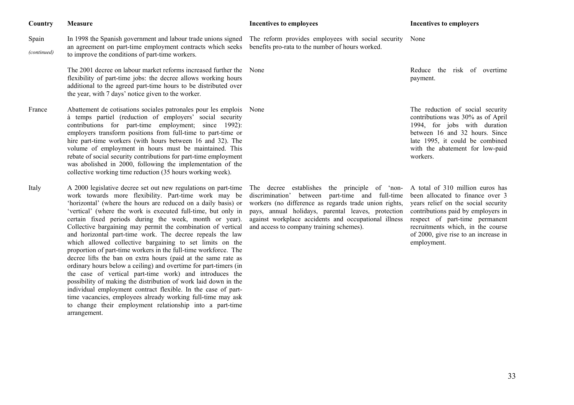| Country              | Measure                                                                                                                                                                                                                                                                                                                                                                                                                                                                                                                                                                                                                                                                                                                                                                                                                                                                                                                                                                                                                                                        | <b>Incentives to employees</b>                                                                                                                                                                                                                                                                                      | <b>Incentives to employers</b>                                                                                                                                                                                                                                                  |
|----------------------|----------------------------------------------------------------------------------------------------------------------------------------------------------------------------------------------------------------------------------------------------------------------------------------------------------------------------------------------------------------------------------------------------------------------------------------------------------------------------------------------------------------------------------------------------------------------------------------------------------------------------------------------------------------------------------------------------------------------------------------------------------------------------------------------------------------------------------------------------------------------------------------------------------------------------------------------------------------------------------------------------------------------------------------------------------------|---------------------------------------------------------------------------------------------------------------------------------------------------------------------------------------------------------------------------------------------------------------------------------------------------------------------|---------------------------------------------------------------------------------------------------------------------------------------------------------------------------------------------------------------------------------------------------------------------------------|
| Spain<br>(continued) | In 1998 the Spanish government and labour trade unions signed<br>an agreement on part-time employment contracts which seeks<br>to improve the conditions of part-time workers.                                                                                                                                                                                                                                                                                                                                                                                                                                                                                                                                                                                                                                                                                                                                                                                                                                                                                 | The reform provides employees with social security None<br>benefits pro-rata to the number of hours worked.                                                                                                                                                                                                         |                                                                                                                                                                                                                                                                                 |
|                      | The 2001 decree on labour market reforms increased further the None<br>flexibility of part-time jobs: the decree allows working hours<br>additional to the agreed part-time hours to be distributed over<br>the year, with 7 days' notice given to the worker.                                                                                                                                                                                                                                                                                                                                                                                                                                                                                                                                                                                                                                                                                                                                                                                                 |                                                                                                                                                                                                                                                                                                                     | Reduce the risk of overtime<br>payment.                                                                                                                                                                                                                                         |
| France               | Abattement de cotisations sociales patronales pour les emplois None<br>à temps partiel (reduction of employers' social security<br>contributions for part-time employment; since 1992):<br>employers transform positions from full-time to part-time or<br>hire part-time workers (with hours between 16 and 32). The<br>volume of employment in hours must be maintained. This<br>rebate of social security contributions for part-time employment<br>was abolished in 2000, following the implementation of the<br>collective working time reduction (35 hours working week).                                                                                                                                                                                                                                                                                                                                                                                                                                                                                |                                                                                                                                                                                                                                                                                                                     | The reduction of social security<br>contributions was 30% as of April<br>1994, for jobs with duration<br>between 16 and 32 hours. Since<br>late 1995, it could be combined<br>with the abatement for low-paid<br>workers.                                                       |
| Italy                | A 2000 legislative decree set out new regulations on part-time<br>work towards more flexibility. Part-time work may be<br>'horizontal' (where the hours are reduced on a daily basis) or<br>'vertical' (where the work is executed full-time, but only in<br>certain fixed periods during the week, month or year).<br>Collective bargaining may permit the combination of vertical<br>and horizontal part-time work. The decree repeals the law<br>which allowed collective bargaining to set limits on the<br>proportion of part-time workers in the full-time workforce. The<br>decree lifts the ban on extra hours (paid at the same rate as<br>ordinary hours below a ceiling) and overtime for part-timers (in<br>the case of vertical part-time work) and introduces the<br>possibility of making the distribution of work laid down in the<br>individual employment contract flexible. In the case of part-<br>time vacancies, employees already working full-time may ask<br>to change their employment relationship into a part-time<br>arrangement. | The decree establishes the principle of 'non-<br>discrimination' between part-time and full-time<br>workers (no difference as regards trade union rights,<br>pays, annual holidays, parental leaves, protection<br>against workplace accidents and occupational illness<br>and access to company training schemes). | A total of 310 million euros has<br>been allocated to finance over 3<br>years relief on the social security<br>contributions paid by employers in<br>respect of part-time permanent<br>recruitments which, in the course<br>of 2000, give rise to an increase in<br>employment. |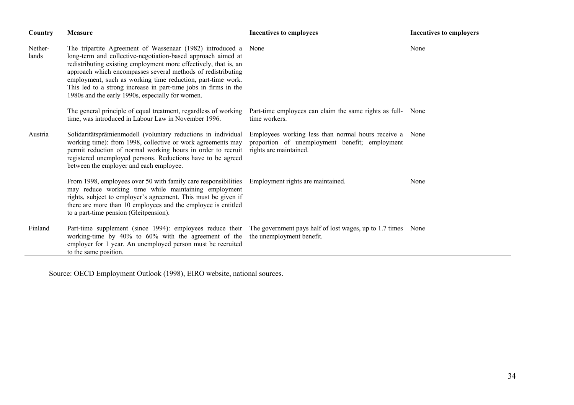| Country          | <b>Measure</b>                                                                                                                                                                                                                                                                                                                                                                                                                                           | <b>Incentives to employees</b>                                                                                                      | <b>Incentives to employers</b> |
|------------------|----------------------------------------------------------------------------------------------------------------------------------------------------------------------------------------------------------------------------------------------------------------------------------------------------------------------------------------------------------------------------------------------------------------------------------------------------------|-------------------------------------------------------------------------------------------------------------------------------------|--------------------------------|
| Nether-<br>lands | The tripartite Agreement of Wassenaar (1982) introduced a None<br>long-term and collective-negotiation-based approach aimed at<br>redistributing existing employment more effectively, that is, an<br>approach which encompasses several methods of redistributing<br>employment, such as working time reduction, part-time work.<br>This led to a strong increase in part-time jobs in firms in the<br>1980s and the early 1990s, especially for women. |                                                                                                                                     | None                           |
|                  | The general principle of equal treatment, regardless of working<br>time, was introduced in Labour Law in November 1996.                                                                                                                                                                                                                                                                                                                                  | Part-time employees can claim the same rights as full- None<br>time workers.                                                        |                                |
| Austria          | Solidaritätsprämienmodell (voluntary reductions in individual<br>working time): from 1998, collective or work agreements may<br>permit reduction of normal working hours in order to recruit<br>registered unemployed persons. Reductions have to be agreed<br>between the employer and each employee.                                                                                                                                                   | Employees working less than normal hours receive a None<br>proportion of unemployment benefit; employment<br>rights are maintained. |                                |
|                  | From 1998, employees over 50 with family care responsibilities<br>may reduce working time while maintaining employment<br>rights, subject to employer's agreement. This must be given if<br>there are more than 10 employees and the employee is entitled<br>to a part-time pension (Gleitpension).                                                                                                                                                      | Employment rights are maintained.                                                                                                   | None                           |
| Finland          | Part-time supplement (since 1994): employees reduce their<br>working-time by 40% to 60% with the agreement of the<br>employer for 1 year. An unemployed person must be recruited<br>to the same position.                                                                                                                                                                                                                                                | The government pays half of lost wages, up to 1.7 times None<br>the unemployment benefit.                                           |                                |

Source: OECD Employment Outlook (1998), EIRO website, national sources.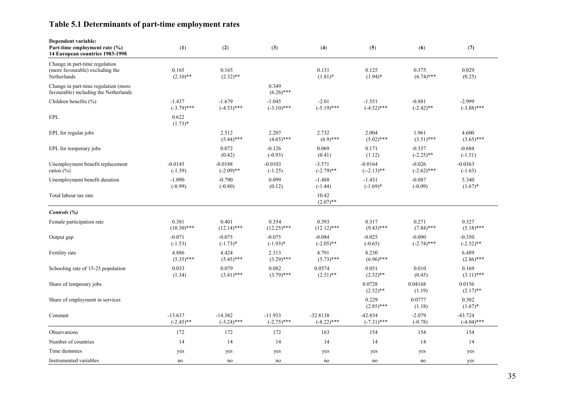# **Table 5.1 Determinants of part-time employment rates**

| Dependent variable:<br>Part-time employment rate (%)<br>14 European countries 1983-1998 | (1)                       | (2)                        | (3)                        | (4)                         | (5)                        | (6)                       | (7)                        |
|-----------------------------------------------------------------------------------------|---------------------------|----------------------------|----------------------------|-----------------------------|----------------------------|---------------------------|----------------------------|
| Change in part-time regulation<br>(more favourable) excluding the<br>Netherlands        | 0.165<br>$(2.10)$ **      | 0.165<br>$(2.32)$ **       |                            | 0.131<br>$(1.81)^*$         | 0.125<br>$(1.94)^*$        | 0.375<br>$(6.74)$ ***     | 0.029<br>(0.25)            |
| Change in part-time regulation (more<br>favourable) including the Netherlands           |                           |                            | 0.349<br>$(6.26)$ ***      |                             |                            |                           |                            |
| Children benefits (%)                                                                   | $-1.437$<br>$(-3.79)$ *** | $-1.679$<br>$(-4.53)$ ***  | $-1.045$<br>$(-3.10)$ ***  | $-2.01$<br>$(-5.19)$ ***    | $-1.551$<br>$(-4.52)$ ***  | $-0.881$<br>$(-2.42)$ **  | $-2.999$<br>$(-3.88)$ ***  |
| <b>EPL</b>                                                                              | 0.622<br>$(1.73)*$        |                            |                            |                             |                            |                           |                            |
| EPL for regular jobs                                                                    |                           | 2.512<br>$(5.44)$ ***      | 2.207<br>$(4.65)$ ***      | 2.732<br>$(6.9)$ ***        | 2.004<br>$(5.02)$ ***      | 1.961<br>$(3.51)$ ***     | 4.600<br>$(3.65)$ ***      |
| EPL for temporary jobs                                                                  |                           | 0.072<br>(0.42)            | $-0.126$<br>$(-0.93)$      | 0.069<br>(0.41)             | 0.171<br>(1.12)            | $-0.337$<br>$(-2.25)$ **  | $-0.684$<br>$(-1.51)$      |
| Unemployment benefit replacement<br>ratios $(\% )$                                      | $-0.0145$<br>$(-1.39)$    | $-0.0188$<br>$(-2.09)$ **  | $-0.0103$<br>$(-1.25)$     | $-3.571$<br>$(-2.79)$ **    | $-0.0164$<br>$(-2.13)$ **  | $-0.026$<br>$(-2.62)$ *** | $-0.0363$<br>$(-1.63)$     |
| Unemployment benefit duration                                                           | $-1.090$<br>$(-0.99)$     | $-0.790$<br>$(-0.80)$      | 0.099<br>(0.12)            | $-1.488$<br>$(-1.44)$       | $-1.431$<br>$(-1.69)*$     | $-0.087$<br>$(-0.09)$     | 5.340<br>$(1.67)^*$        |
| Total labour tax rate                                                                   |                           |                            |                            | 10.42<br>$(2.07)$ **        |                            |                           |                            |
| Controls (%)                                                                            |                           |                            |                            |                             |                            |                           |                            |
| Female participation rate                                                               | 0.381<br>$(10.30)$ ***    | 0.401<br>$(12.14)$ ***     | 0.354<br>$(12.25)$ ***     | 0.393<br>$(12.12)$ ***      | 0.317<br>$(9.43)$ ***      | 0.271<br>$(7.84)$ ***     | 0.327<br>$(5.18)$ ***      |
| Output gap                                                                              | $-0.071$<br>$(-1.53)$     | $-0.075$<br>$(-1.73)*$     | $-0.075$<br>$(-1.93)*$     | $-0.084$<br>$(-2.05)$ **    | $-0.025$<br>$(-0.65)$      | $-0.090$<br>$(-2.74)$ *** | $-0.350$<br>$(-2.52)$ **   |
| Fertility rate                                                                          | 4.886<br>$(5.35)$ ***     | 4.424<br>$(5.45)$ ***      | 2.313<br>$(3.29)$ ***      | 4.791<br>$(5.73)$ ***       | 8.230<br>$(6.96)$ ***      |                           | 6.489<br>$(2.86)$ ***      |
| Schooling rate of 15-25 population                                                      | 0.033<br>(1.34)           | 0.079<br>$(3.41)$ ***      | 0.082<br>$(3.79)$ ***      | 0.0574<br>$(2.51)$ **       | 0.051<br>$(2.32)$ **       | 0.010<br>(0.45)           | 0.169<br>$(3.11)$ ***      |
| Share of temporary jobs                                                                 |                           |                            |                            |                             | 0.0728<br>$(2.52)$ **      | 0.04168<br>(1.19)         | 0.0156<br>$(2.17)$ **      |
| Share of employment in services                                                         |                           |                            |                            |                             | 0.229<br>$(2.85)$ ***      | 0.0777<br>(1.18)          | 0.302<br>$(1.67)^*$        |
| Constant                                                                                | $-13.637$<br>$(-2.45)$ ** | $-14.382$<br>$(-3.24)$ *** | $-11.933$<br>$(-2.75)$ *** | $-32.8138$<br>$(-8.22)$ *** | $-42.834$<br>$(-7.31)$ *** | $-2.079$<br>$(-0.78)$     | $-43.724$<br>$(-4.04)$ *** |
| Observations                                                                            | 172                       | 172                        | 172                        | 163                         | 154                        | 154                       | 154                        |
| Number of countries                                                                     | 14                        | 14                         | 14                         | 14                          | 14                         | 14                        | 14                         |
| Time dummies                                                                            | yes                       | yes                        | yes                        | yes                         | yes                        | yes                       | yes                        |
| Instrumented variables                                                                  | no                        | no                         | no                         | no                          | no                         | no                        | yes                        |